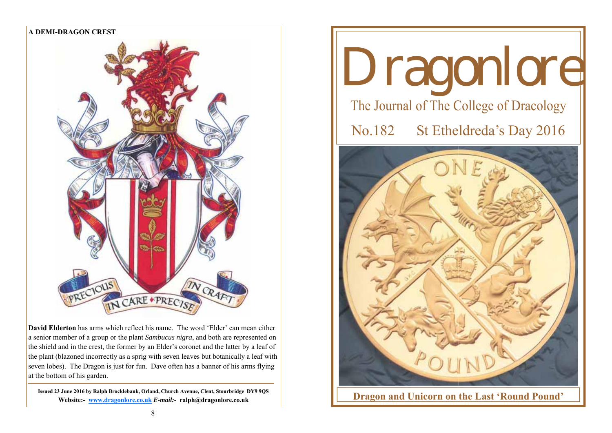

**David Elderton** has arms which reflect his name. The word 'Elder' can mean either a senior member of a group or the plant *Sambucus nigra*, and both are represented on the shield and in the crest, the former by an Elder's coronet and the latter by a leaf of the plant (blazoned incorrectly as a sprig with seven leaves but botanically a leaf with seven lobes). The Dragon is just for fun. Dave often has a banner of his arms flying at the bottom of his garden.

**Issued 23 June 2016 by Ralph Brocklebank, Orland, Church Avenue, Clent, Stourbridge DY9 9QS Website:- www.dragonlore.co.uk** *E-mail:-* **ralph@dragonlore.co.uk**

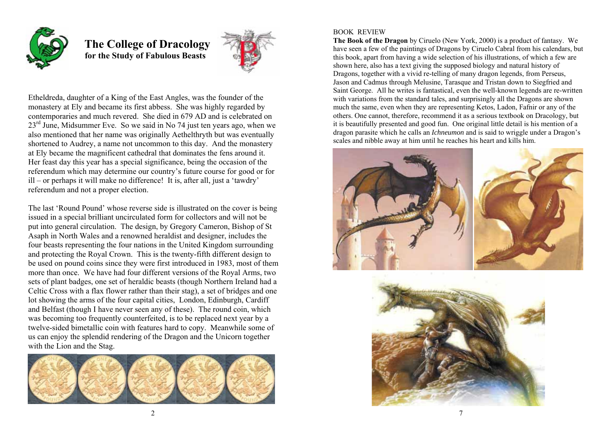

 **The College of Dracology for the Study of Fabulous Beasts** 



Etheldreda, daughter of a King of the East Angles, was the founder of the monastery at Ely and became its first abbess. She was highly regarded by contemporaries and much revered. She died in 679 AD and is celebrated on 23<sup>rd</sup> June, Midsummer Eve. So we said in No 74 just ten years ago, when we also mentioned that her name was originally Aethelthryth but was eventually shortened to Audrey, a name not uncommon to this day. And the monastery at Ely became the magnificent cathedral that dominates the fens around it. Her feast day this year has a special significance, being the occasion of the referendum which may determine our country's future course for good or for ill – or perhaps it will make no difference! It is, after all, just a 'tawdry' referendum and not a proper election.

The last 'Round Pound' whose reverse side is illustrated on the cover is being issued in a special brilliant uncirculated form for collectors and will not be put into general circulation. The design, by Gregory Cameron, Bishop of St Asaph in North Wales and a renowned heraldist and designer, includes the four beasts representing the four nations in the United Kingdom surrounding and protecting the Royal Crown. This is the twenty-fifth different design to be used on pound coins since they were first introduced in 1983, most of them more than once. We have had four different versions of the Royal Arms, two sets of plant badges, one set of heraldic beasts (though Northern Ireland had a Celtic Cross with a flax flower rather than their stag), a set of bridges and one lot showing the arms of the four capital cities, London, Edinburgh, Cardiff and Belfast (though I have never seen any of these). The round coin, which was becoming too frequently counterfeited, is to be replaced next year by a twelve-sided bimetallic coin with features hard to copy. Meanwhile some of us can enjoy the splendid rendering of the Dragon and the Unicorn together with the Lion and the Stag.



## BOOK REVIEW

**The Book of the Dragon** by Ciruelo (New York, 2000) is a product of fantasy. We have seen a few of the paintings of Dragons by Ciruelo Cabral from his calendars, but this book, apart from having a wide selection of his illustrations, of which a few are shown here, also has a text giving the supposed biology and natural history of Dragons, together with a vivid re-telling of many dragon legends, from Perseus, Jason and Cadmus through Melusine, Tarasque and Tristan down to Siegfried and Saint George. All he writes is fantastical, even the well-known legends are re-written with variations from the standard tales, and surprisingly all the Dragons are shown much the same, even when they are representing Ketos, Ladon, Fafnir or any of the others. One cannot, therefore, recommend it as a serious textbook on Dracology, but it is beautifully presented and good fun. One original little detail is his mention of a dragon parasite which he calls an *Ichneumon* and is said to wriggle under a Dragon's scales and nibble away at him until he reaches his heart and kills him.

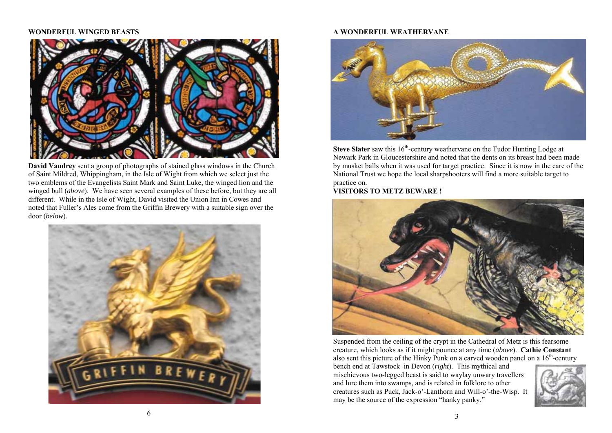## **WONDERFUL WINGED BEASTS**



**David Vaudrey** sent a group of photographs of stained glass windows in the Church of Saint Mildred, Whippingham, in the Isle of Wight from which we select just the two emblems of the Evangelists Saint Mark and Saint Luke, the winged lion and the winged bull (*above*). We have seen several examples of these before, but they are all different. While in the Isle of Wight, David visited the Union Inn in Cowes and noted that Fuller's Ales come from the Griffin Brewery with a suitable sign over the door (*below*).



## **A WONDERFUL WEATHERVANE**



**Steve Slater** saw this 16<sup>th</sup>-century weathervane on the Tudor Hunting Lodge at Newark Park in Gloucestershire and noted that the dents on its breast had been made by musket balls when it was used for target practice. Since it is now in the care of the National Trust we hope the local sharpshooters will find a more suitable target to practice on.

**VISITORS TO METZ BEWARE !** 



Suspended from the ceiling of the crypt in the Cathedral of Metz is this fearsome creature, which looks as if it might pounce at any time (*above*). **Cathie Constant** also sent this picture of the Hinky Punk on a carved wooden panel on a  $16<sup>th</sup>$ -century

bench end at Tawstock in Devon (*right*). This mythical and mischievous two-legged beast is said to waylay unwary travellers and lure them into swamps, and is related in folklore to other creatures such as Puck, Jack-o'-Lanthorn and Will-o'-the-Wisp. It may be the source of the expression "hanky panky."